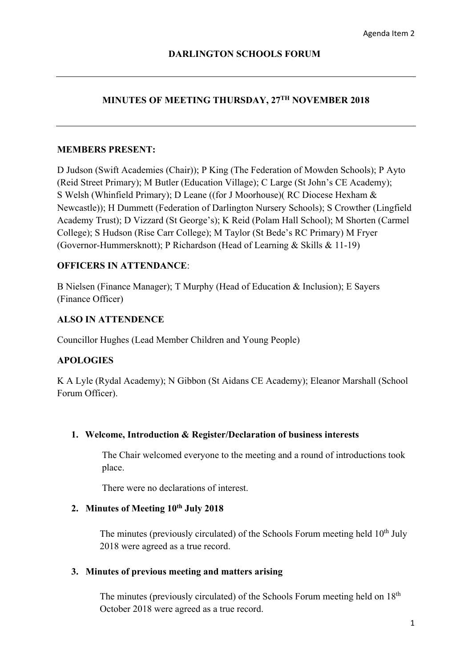# **MINUTES OF MEETING THURSDAY, 27TH NOVEMBER 2018**

## **MEMBERS PRESENT:**

 S Welsh (Whinfield Primary); D Leane ((for J Moorhouse)( RC Diocese Hexham & D Judson (Swift Academies (Chair)); P King (The Federation of Mowden Schools); P Ayto (Reid Street Primary); M Butler (Education Village); C Large (St John's CE Academy); Newcastle)); H Dummett (Federation of Darlington Nursery Schools); S Crowther (Lingfield Academy Trust); D Vizzard (St George's); K Reid (Polam Hall School); M Shorten (Carmel College); S Hudson (Rise Carr College); M Taylor (St Bede's RC Primary) M Fryer (Governor-Hummersknott); P Richardson (Head of Learning & Skills & 11-19)

## **OFFICERS IN ATTENDANCE**:

B Nielsen (Finance Manager); T Murphy (Head of Education & Inclusion); E Sayers (Finance Officer)

## **ALSO IN ATTENDENCE**

Councillor Hughes (Lead Member Children and Young People)

## **APOLOGIES**

 Forum Officer). K A Lyle (Rydal Academy); N Gibbon (St Aidans CE Academy); Eleanor Marshall (School

## **1. Welcome, Introduction & Register/Declaration of business interests**

The Chair welcomed everyone to the meeting and a round of introductions took place.

There were no declarations of interest.

# **2. Minutes of Meeting 10th July 2018**

The minutes (previously circulated) of the Schools Forum meeting held  $10<sup>th</sup>$  July 2018 were agreed as a true record.

### **3. Minutes of previous meeting and matters arising**

The minutes (previously circulated) of the Schools Forum meeting held on 18<sup>th</sup> October 2018 were agreed as a true record.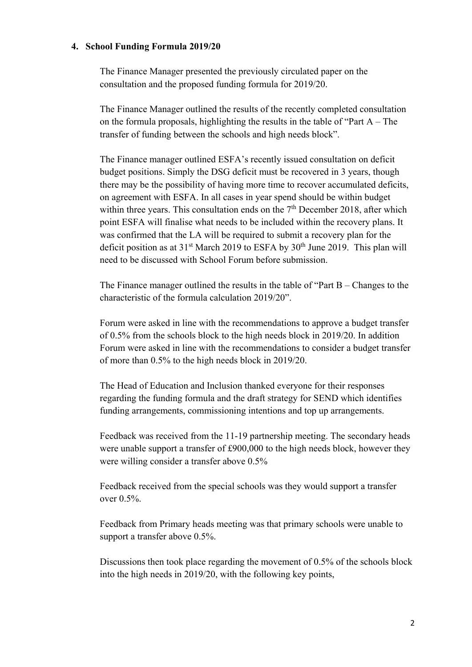## **4. School Funding Formula 2019/20**

The Finance Manager presented the previously circulated paper on the consultation and the proposed funding formula for 2019/20.

The Finance Manager outlined the results of the recently completed consultation on the formula proposals, highlighting the results in the table of "Part  $A$  – The transfer of funding between the schools and high needs block".

The Finance manager outlined ESFA's recently issued consultation on deficit budget positions. Simply the DSG deficit must be recovered in 3 years, though there may be the possibility of having more time to recover accumulated deficits, on agreement with ESFA. In all cases in year spend should be within budget within three years. This consultation ends on the  $7<sup>th</sup>$  December 2018, after which point ESFA will finalise what needs to be included within the recovery plans. It was confirmed that the LA will be required to submit a recovery plan for the deficit position as at  $31<sup>st</sup>$  March 2019 to ESFA by  $30<sup>th</sup>$  June 2019. This plan will need to be discussed with School Forum before submission.

The Finance manager outlined the results in the table of "Part B – Changes to the characteristic of the formula calculation 2019/20".

Forum were asked in line with the recommendations to approve a budget transfer of 0.5% from the schools block to the high needs block in 2019/20. In addition Forum were asked in line with the recommendations to consider a budget transfer of more than 0.5% to the high needs block in 2019/20.

The Head of Education and Inclusion thanked everyone for their responses regarding the funding formula and the draft strategy for SEND which identifies funding arrangements, commissioning intentions and top up arrangements.

Feedback was received from the 11-19 partnership meeting. The secondary heads were unable support a transfer of £900,000 to the high needs block, however they were willing consider a transfer above 0.5%

Feedback received from the special schools was they would support a transfer over 0.5%.

Feedback from Primary heads meeting was that primary schools were unable to support a transfer above 0.5%.

Discussions then took place regarding the movement of 0.5% of the schools block into the high needs in 2019/20, with the following key points,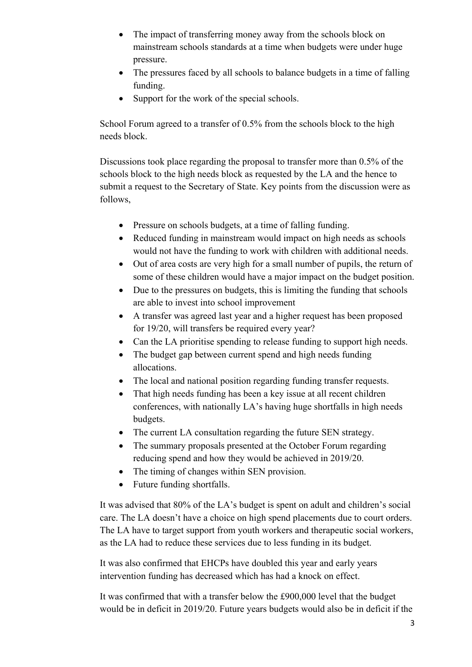- The impact of transferring money away from the schools block on mainstream schools standards at a time when budgets were under huge pressure.
- The pressures faced by all schools to balance budgets in a time of falling funding.
- Support for the work of the special schools.

School Forum agreed to a transfer of 0.5% from the schools block to the high needs block.

Discussions took place regarding the proposal to transfer more than 0.5% of the schools block to the high needs block as requested by the LA and the hence to submit a request to the Secretary of State. Key points from the discussion were as follows,

- Pressure on schools budgets, at a time of falling funding.
- Reduced funding in mainstream would impact on high needs as schools would not have the funding to work with children with additional needs.
- Out of area costs are very high for a small number of pupils, the return of some of these children would have a major impact on the budget position.
- Due to the pressures on budgets, this is limiting the funding that schools are able to invest into school improvement
- A transfer was agreed last year and a higher request has been proposed for 19/20, will transfers be required every year?
- Can the LA prioritise spending to release funding to support high needs.
- The budget gap between current spend and high needs funding allocations.
- The local and national position regarding funding transfer requests.
- That high needs funding has been a key issue at all recent children conferences, with nationally LA's having huge shortfalls in high needs budgets.
- The current LA consultation regarding the future SEN strategy.
- The summary proposals presented at the October Forum regarding reducing spend and how they would be achieved in 2019/20.
- The timing of changes within SEN provision.
- Future funding shortfalls.

It was advised that 80% of the LA's budget is spent on adult and children's social care. The LA doesn't have a choice on high spend placements due to court orders. The LA have to target support from youth workers and therapeutic social workers, as the LA had to reduce these services due to less funding in its budget.

It was also confirmed that EHCPs have doubled this year and early years intervention funding has decreased which has had a knock on effect.

It was confirmed that with a transfer below the £900,000 level that the budget would be in deficit in 2019/20. Future years budgets would also be in deficit if the